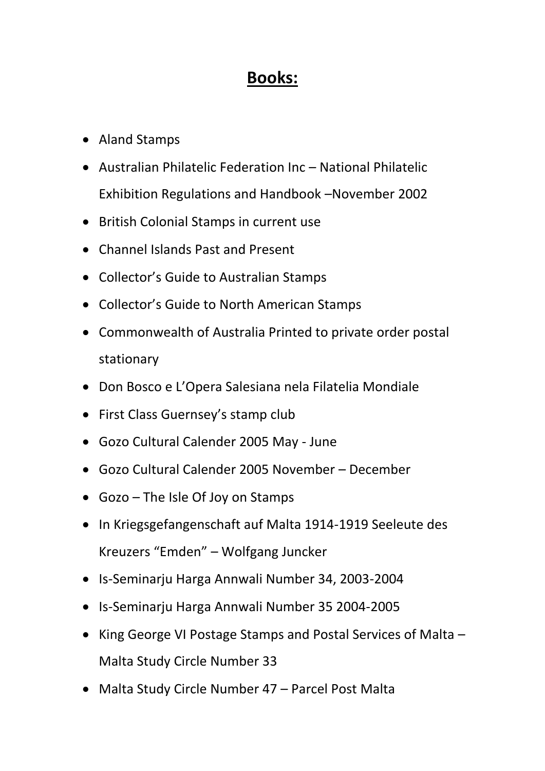## **Books:**

- Aland Stamps
- Australian Philatelic Federation Inc National Philatelic Exhibition Regulations and Handbook –November 2002
- British Colonial Stamps in current use
- Channel Islands Past and Present
- Collector's Guide to Australian Stamps
- Collector's Guide to North American Stamps
- Commonwealth of Australia Printed to private order postal stationary
- Don Bosco e L'Opera Salesiana nela Filatelia Mondiale
- First Class Guernsey's stamp club
- Gozo Cultural Calender 2005 May June
- Gozo Cultural Calender 2005 November December
- Gozo The Isle Of Joy on Stamps
- In Kriegsgefangenschaft auf Malta 1914-1919 Seeleute des Kreuzers "Emden" – Wolfgang Juncker
- Is-Seminarju Harga Annwali Number 34, 2003-2004
- Is-Seminarju Harga Annwali Number 35 2004-2005
- King George VI Postage Stamps and Postal Services of Malta Malta Study Circle Number 33
- Malta Study Circle Number 47 Parcel Post Malta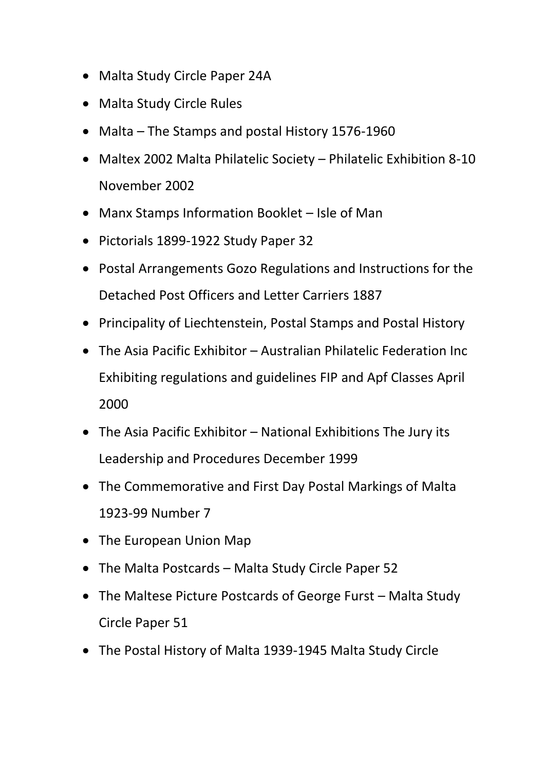- Malta Study Circle Paper 24A
- Malta Study Circle Rules
- Malta The Stamps and postal History 1576-1960
- Maltex 2002 Malta Philatelic Society Philatelic Exhibition 8-10 November 2002
- Manx Stamps Information Booklet Isle of Man
- Pictorials 1899-1922 Study Paper 32
- Postal Arrangements Gozo Regulations and Instructions for the Detached Post Officers and Letter Carriers 1887
- Principality of Liechtenstein, Postal Stamps and Postal History
- The Asia Pacific Exhibitor Australian Philatelic Federation Inc Exhibiting regulations and guidelines FIP and Apf Classes April 2000
- The Asia Pacific Exhibitor National Exhibitions The Jury its Leadership and Procedures December 1999
- The Commemorative and First Day Postal Markings of Malta 1923-99 Number 7
- The European Union Map
- The Malta Postcards Malta Study Circle Paper 52
- The Maltese Picture Postcards of George Furst Malta Study Circle Paper 51
- The Postal History of Malta 1939-1945 Malta Study Circle